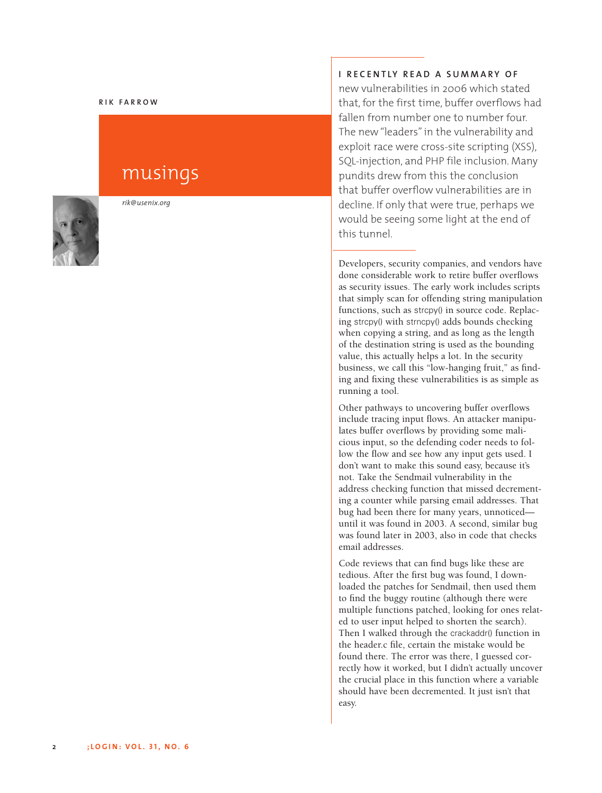#### **R I K F A R R O W**

# musings



*r i k @ u s e n ix . o rg*

#### **I** RECENTLY READ A SUMMARY OF

new vulnerabilities in 2006 which stated that, for the first time, buffer overflows had fallen from number one to number four. The new "leaders" in the vulnerability and exploit race were cross-site scripting (XSS), SQL-injection, and PHP file inclusion. Many pundits drew from this the conclusion that buffer overflow vulnerabilities are in decline. If only that were true, perhaps we would be seeing some light at the end of this tunnel.

Developers, security companies, and vendors have done considerable work to retire buffer overflows as security issues. The early work includes scripts that simply scan for offending string manipulation functions, such as strcpy() in source code. Replacing strcpy() with strncpy() adds bounds checking when copying a string, and as long as the length of the destination string is used as the bounding value, this actually helps a lot. In the security business, we call this "low-hanging fruit," as finding and fixing these vulnerabilities is as simple as running a tool.

Other pathways to uncovering buffer overflows include tracing input flows. An attacker manipulates buffer overflows by providing some malicious input, so the defending coder needs to follow the flow and see how any input gets used. I don't want to make this sound easy, because it's ' not. Take the Sendmail vulnerability in the address checking function that missed decrementing a counter while parsing email addresses. That bug had been there for many years, unnoticed until it was found in 2003. A second, similar bug was found later in 2003, also in code that checks email addresses.

Code reviews that can find bugs like these are tedious. After the first bug was found, I downloaded the patches for Sendmail, then used them to find the buggy routine (although there were multiple functions patched, looking for ones related to user input helped to shorten the search). Then I walked through the crackaddr() function in the header.c file, certain the mistake would be found there. The error was there, I guessed correctly how it worked, but I didn't actually uncover ' the crucial place in this function where a variable should have been decremented. It just isn't that ' easy.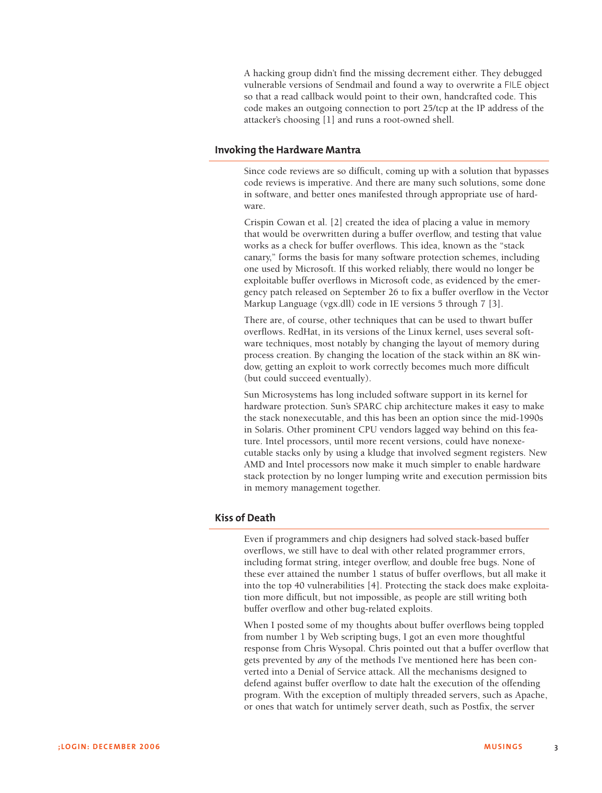A hacking group didn't find the missing decrement either. They debugged vulnerable versions of Sendmail and found a way to overwrite a FILE object so that a read callback would point to their own, handcrafted code. This code makes an outgoing connection to port 25/tcp at the IP address of the attacker's choosing [1] and runs a root-owned shell.

#### **Invoking the Hardware Mantra**

Since code reviews are so difficult, coming up with a solution that bypasses code reviews is imperative. And there are many such solutions, some done in software, and better ones manifested through appropriate use of hardware.

Crispin Cowan et al. [2] created the idea of placing a value in memory that would be overwritten during a buffer overflow, and testing that value works as a check for buffer overflows. This idea, known as the "stack canary," forms the basis for many software protection schemes, including one used by Microsoft. If this worked reliably, there would no longer be exploitable buffer overflows in Microsoft code, as evidenced by the emergency patch released on September 26 to fix a buffer overflow in the Vector Markup Language (vgx.dll) code in IE versions 5 through 7 [3].

There are, of course, other techniques that can be used to thwart buffer overflows. RedHat, in its versions of the Linux kernel, uses several software techniques, most notably by changing the layout of memory during process creation. By changing the location of the stack within an 8K window, getting an exploit to work correctly becomes much more difficult (but could succeed eventually).

Sun Microsystems has long included software support in its kernel for hardware protection. Sun's SPARC chip architecture makes it easy to make the stack nonexecutable, and this has been an option since the mid-1990s in Solaris. Other prominent CPU vendors lagged way behind on this feature. Intel processors, until more recent versions, could have nonexecutable stacks only by using a kludge that involved segment registers. New AMD and Intel processors now make it much simpler to enable hardware stack protection by no longer lumping write and execution permission bits in memory management together.

#### **Kiss of Death**

Even if programmers and chip designers had solved stack-based buffer overflows, we still have to deal with other related programmer errors, including format string, integer overflow, and double free bugs. None of these ever attained the number 1 status of buffer overflows, but all make it into the top 40 vulnerabilities [4]. Protecting the stack does make exploitation more difficult, but not impossible, as people are still writing both buffer overflow and other bug-related exploits.

When I posted some of my thoughts about buffer overflows being toppled from number 1 by Web scripting bugs, I got an even more thoughtful response from Chris Wysopal. Chris pointed out that a buffer overflow that gets prevented by *any* of the methods I've mentioned here has been converted into a Denial of Service attack. All the mechanisms designed to defend against buffer overflow to date halt the execution of the offending program. With the exception of multiply threaded servers, such as Apache, or ones that watch for untimely server death, such as Postfix, the server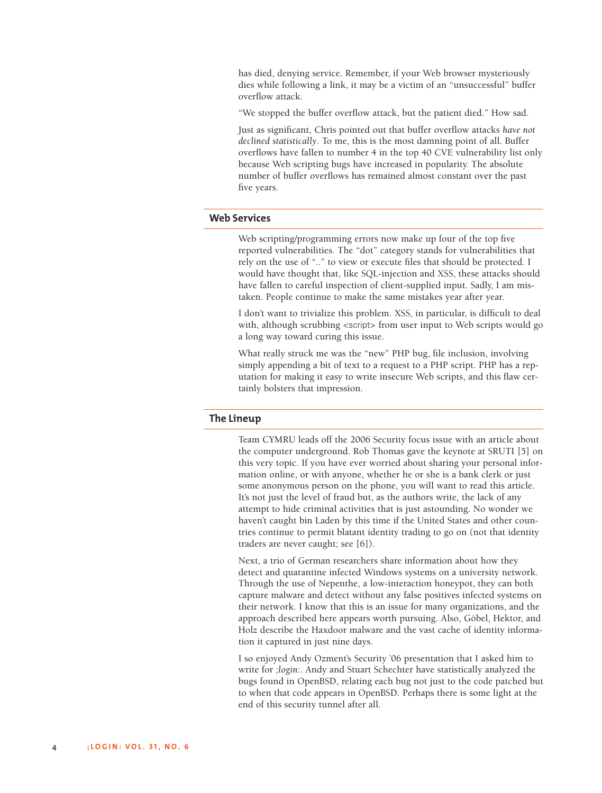has died, denying service. Remember, if your Web browser mysteriously dies while following a link, it may be a victim of an "unsuccessful" buffer overflow attack.

"We stopped the buffer overflow attack, but the patient died." How sad.

Just as significant, Chris pointed out that buffer overflow attacks *have not declined statistically*. To me, this is the most damning point of all. Buffer overflows have fallen to number 4 in the top 40 CVE vulnerability list only because Web scripting bugs have increased in popularity. The absolute number of buffer overflows has remained almost constant over the past five years.

#### **Web Services**

Web scripting/programming errors now make up four of the top five reported vulnerabilities. The "dot" category stands for vulnerabilities that rely on the use of ".." to view or execute files that should be protected. I would have thought that, like SQL-injection and XSS, these attacks should have fallen to careful inspection of client-supplied input. Sadly, I am mistaken. People continue to make the same mistakes year after year.

I don't want to trivialize this problem. XSS, in particular, is difficult to deal with, although scrubbing <script> from user input to Web scripts would go a long way toward curing this issue.

What really struck me was the "new" PHP bug, file inclusion, involving simply appending a bit of text to a request to a PHP script. PHP has a reputation for making it easy to write insecure Web scripts, and this flaw certainly bolsters that impression.

#### **The Lineup**

Team CYMRU leads off the 2006 Security focus issue with an article about the computer underground. Rob Thomas gave the keynote at SRUTI [5] on this very topic. If you have ever worried about sharing your personal information online, or with anyone, whether he or she is a bank clerk or just some anonymous person on the phone, you will want to read this article. It's not just the level of fraud but, as the authors write, the lack of any attempt to hide criminal activities that is just astounding. No wonder we haven't caught bin Laden by this time if the United States and other countries continue to permit blatant identity trading to go on (not that identity traders are never caught; see [6]).

Next, a trio of German researchers share information about how they detect and quarantine infected Windows systems on a university network. Through the use of Nepenthe, a low-interaction honeypot, they can both capture malware and detect without any false positives infected systems on their network. I know that this is an issue for many organizations, and the approach described here appears worth pursuing. Also, Göbel, Hektor, and Holz describe the Haxdoor malware and the vast cache of identity information it captured in just nine days.

I so enjoyed Andy Ozment's Security '06 presentation that I asked him to write for *;login:*. Andy and Stuart Schechter have statistically analyzed the bugs found in OpenBSD, relating each bug not just to the code patched but to when that code appears in OpenBSD. Perhaps there is some light at the end of this security tunnel after all.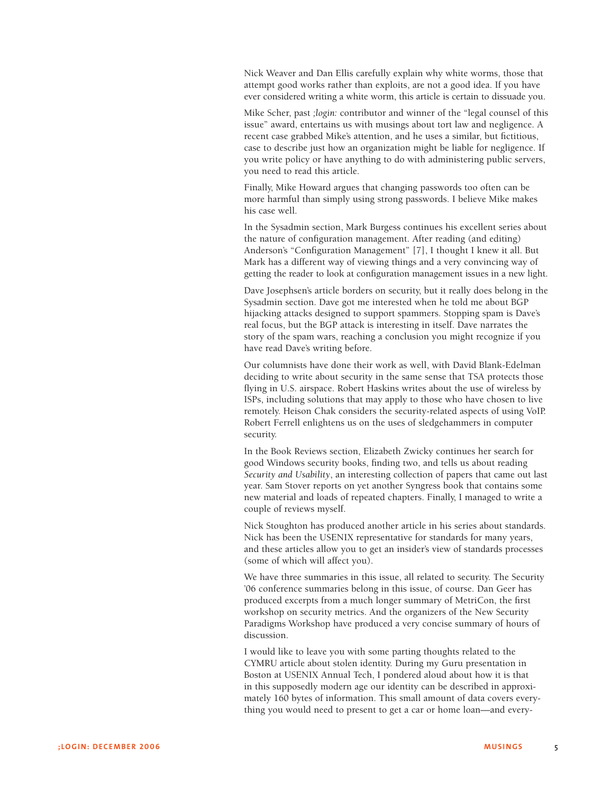Nick Weaver and Dan Ellis carefully explain why white worms, those that attempt good works rather than exploits, are not a good idea. If you have ever considered writing a white worm, this article is certain to dissuade you.

Mike Scher, past *;login:* contributor and winner of the "legal counsel of this issue" award, entertains us with musings about tort law and negligence. A recent case grabbed Mike's attention, and he uses a similar, but fictitious, case to describe just how an organization might be liable for negligence. If you write policy or have anything to do with administering public servers, you need to read this article.

Finally, Mike Howard argues that changing passwords too often can be more harmful than simply using strong passwords. I believe Mike makes his case well.

In the Sysadmin section, Mark Burgess continues his excellent series about the nature of configuration management. After reading (and editing) Anderson's "Configuration Management" [7], I thought I knew it all. But Mark has a different way of viewing things and a very convincing way of getting the reader to look at configuration management issues in a new light.

Dave Josephsen's article borders on security, but it really does belong in the Sysadmin section. Dave got me interested when he told me about BGP hijacking attacks designed to support spammers. Stopping spam is Dave's real focus, but the BGP attack is interesting in itself. Dave narrates the story of the spam wars, reaching a conclusion you might recognize if you have read Dave's writing before.

Our columnists have done their work as well, with David Blank-Edelman deciding to write about security in the same sense that TSA protects those flying in U.S. airspace. Robert Haskins writes about the use of wireless by ISPs, including solutions that may apply to those who have chosen to live remotely. Heison Chak considers the security-related aspects of using VoIP. Robert Ferrell enlightens us on the uses of sledgehammers in computer security.

In the Book Reviews section, Elizabeth Zwicky continues her search for good Windows security books, finding two, and tells us about reading *Security and Usability*, an interesting collection of papers that came out last year. Sam Stover reports on yet another Syngress book that contains some new material and loads of repeated chapters. Finally, I managed to write a couple of reviews myself.

Nick Stoughton has produced another article in his series about standards. Nick has been the USENIX representative for standards for many years, and these articles allow you to get an insider's view of standards processes (some of which will affect you).

We have three summaries in this issue, all related to security. The Security '06 conference summaries belong in this issue, of course. Dan Geer has produced excerpts from a much longer summary of MetriCon, the first workshop on security metrics. And the organizers of the New Security Paradigms Workshop have produced a very concise summary of hours of discussion.

I would like to leave you with some parting thoughts related to the CYMRU article about stolen identity. During my Guru presentation in Boston at USENIX Annual Tech, I pondered aloud about how it is that in this supposedly modern age our identity can be described in approximately 160 bytes of information. This small amount of data covers everything you would need to present to get a car or home loan—and every